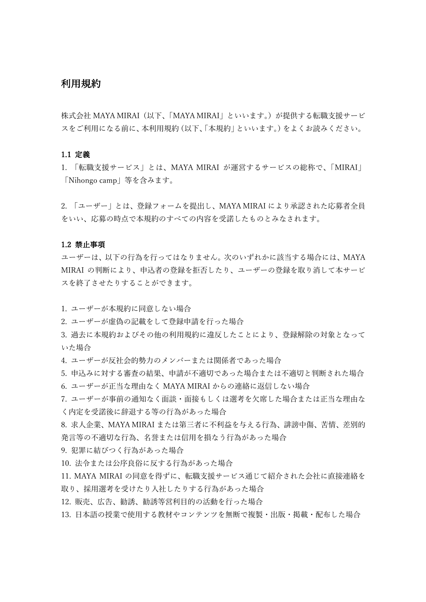# 利用規約

株式会社 MAYA MIRAI(以下、「MAYA MIRAI」といいます。)が提供する転職支援サービ スをご利用になる前に、本利用規約(以下、「本規約」といいます。)をよくお読みください。

### 1.1 定義

1. 「転職支援サービス」とは、MAYA MIRAI が運営するサービスの総称で、「MIRAI」 「Nihongo camp」等を含みます。

2. 「ユーザー」とは、登録フォームを提出し、MAYA MIRAI により承認された応募者全員 をいい、応募の時点で本規約のすべての内容を受諾したものとみなされます。

### $1.2$  禁止事項

ユーザーは、以下の⾏為を⾏ってはなりません。次のいずれかに該当する場合には、MAYA MIRAI の判断により、申込者の登録を拒否したり、ユーザーの登録を取り消して本サービ スを終了させたりすることができます。

1. ユーザーが本規約に同意しない場合

- 2. ユーザーが虚偽の記載をして登録申請を行った場合
- 3. 過去に本規約およびその他の利用規約に違反したことにより、登録解除の対象となって いた場合

4. ユーザーが反社会的勢力のメンバーまたは関係者であった場合

- 5. 申込みに対する審査の結果、申請が不適切であった場合または不適切と判断された場合 6. ユーザーが正当な理由なく MAYA MIRAI からの連絡に返信しない場合
- 7. ユーザーが事前の通知なく面談・面接もしくは選考を欠席した場合または正当な理由な く内定を受諾後に辞退する等の⾏為があった場合
- 8. 求⼈企業、MAYA MIRAI または第三者に不利益を与える⾏為、誹謗中傷、苦情、差別的 発言等の不適切な行為、名誉または信用を損なう行為があった場合

9. 犯罪に結びつく行為があった場合

10. 法令または公序良俗に反する行為があった場合

- 11. MAYA MIRAI の同意を得ずに、転職⽀援サービス通じて紹介された会社に直接連絡を 取り、採用選考を受けたり入社したりする行為があった場合
- 12. 販売、広告、勧誘、勧誘等営利⽬的の活動を⾏った場合
- 13. 日本語の授業で使用する教材やコンテンツを無断で複製・出版・掲載・配布した場合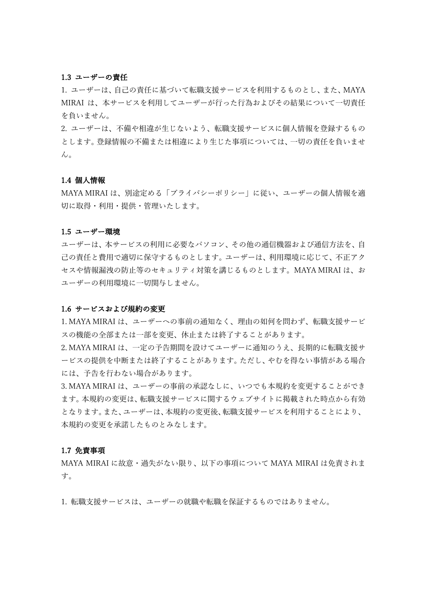### 1.3 ユーザーの責任

1. ユーザーは、自己の責任に基づいて転職支援サービスを利用するものとし、また、MAYA MIRAI は、本サービスを利用してユーザーが行った行為およびその結果について一切責任 を負いません。

2. ユーザーは、不備や相違が生じないよう、転職支援サービスに個人情報を登録するもの とします。登録情報の不備または相違により生じた事項については、一切の責任を負いませ  $\lambda$ 

### 1.4 個⼈情報

MAYA MIRAI は、別途定める「プライバシーポリシー」に従い、ユーザーの個⼈情報を適 切に取得・利⽤・提供・管理いたします。

#### 1.5 ユーザー環境

ユーザーは、本サービスの利用に必要なパソコン、その他の通信機器および通信方法を、自 己の責任と費用で適切に保守するものとします。ユーザーは、利用環境に応じて、不正アク セスや情報漏洩の防⽌等のセキュリティ対策を講じるものとします。MAYA MIRAI は、お ユーザーの利用環境に一切関与しません。

#### 1.6 サービスおよび規約の変更

1. MAYA MIRAI は、ユーザーへの事前の通知なく、理由の如何を問わず、転職支援サービ スの機能の全部または一部を変更、休止または終了することがあります。

2. MAYA MIRAI は、一定の予告期間を設けてユーザーに通知のうえ、長期的に転職支援サ ービスの提供を中断または終了することがあります。ただし、やむを得ない事情がある場合 には、予告を⾏わない場合があります。

3. MAYA MIRAI は、ユーザーの事前の承認なしに、いつでも本規約を変更することができ ます。本規約の変更は、転職支援サービスに関するウェブサイトに掲載された時点から有効 となります。また、ユーザーは、本規約の変更後、転職支援サービスを利用することにより、 本規約の変更を承諾したものとみなします。

### 1.7 免責事項

MAYA MIRAI に故意・過失がない限り、以下の事項について MAYA MIRAI は免責されま す。

1. 転職⽀援サービスは、ユーザーの就職や転職を保証するものではありません。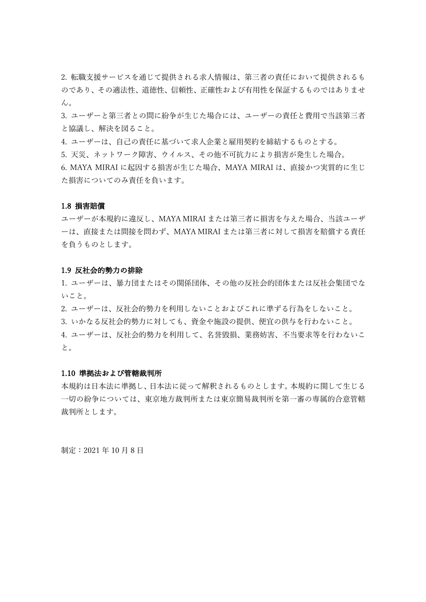2. 転職支援サービスを通じて提供される求人情報は、第三者の責任において提供されるも のであり、その適法性、道徳性、信頼性、正確性および有用性を保証するものではありませ ん。

3. ユーザーと第三者との間に紛争が生じた場合には、ユーザーの責任と費用で当該第三者 と協議し、解決を図ること。

4. ユーザーは、自己の責任に基づいて求人企業と雇用契約を締結するものとする。

5. 天災、ネットワーク障害、ウイルス、その他不可抗力により損害が発生した場合。

6. MAYA MIRAI に起因する損害が⽣じた場合、MAYA MIRAI は、直接かつ実質的に⽣じ た損害についてのみ責任を負います。

### 1.8 損害賠償

ユーザーが本規約に違反し、MAYA MIRAI または第三者に損害を与えた場合、当該ユーザ ーは、直接または間接を問わず、MAYA MIRAI または第三者に対して損害を賠償する責任 を負うものとします。

#### 1.9 反社会的勢力の排除

1. ユーザーは、暴力団またはその関係団体、その他の反社会的団体または反社会集団でな いこと。

2. ユーザーは、反社会的勢力を利用しないことおよびこれに準ずる行為をしないこと。

3. いかなる反社会的勢力に対しても、資金や施設の提供、便宜の供与を行わないこと。

4. ユーザーは、反社会的勢力を利用して、名誉毀損、業務妨害、不当要求等を行わないこ と。

### 1.10 準拠法および管轄裁判所

本規約は日本法に準拠し、日本法に従って解釈されるものとします。本規約に関して生じる 一切の紛争については、東京地方裁判所または東京簡易裁判所を第一審の専属的合意管轄 裁判所とします。

制定: 2021年10月8日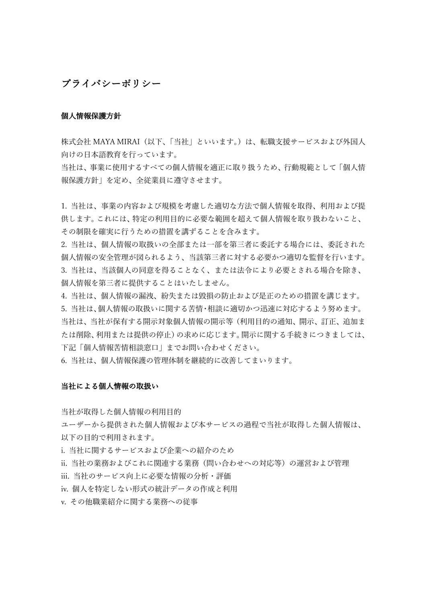# プライバシーポリシー

### 個人情報保護方針

株式会社 MAYA MIRAI(以下、「当社」といいます。)は、転職支援サービスおよび外国人 向けの日本語教育を行っています。

当社は、事業に使用するすべての個人情報を適正に取り扱うため、行動規範として「個人情 報保護⽅針」を定め、全従業員に遵守させます。

1. 当社は、事業の内容および規模を考慮した適切な方法で個人情報を取得、利用および提 供します。これには、特定の利用目的に必要な範囲を超えて個人情報を取り扱わないこと、 その制限を確実に⾏うための措置を講ずることを含みます。

2.当社は、個人情報の取扱いの全部または一部を第三者に委託する場合には、委託された 個⼈情報の安全管理が図られるよう、当該第三者に対する必要かつ適切な監督を⾏います。 3. 当社は、当該個⼈の同意を得ることなく、または法令により必要とされる場合を除き、 個⼈情報を第三者に提供することはいたしません。

4. 当社は、個人情報の漏洩、紛失または毀損の防止および是正のための措置を講じます。 5. 当社は、個⼈情報の取扱いに関する苦情・相談に適切かつ迅速に対応するよう努めます。 当社は、当社が保有する開示対象個人情報の開示等(利用目的の通知、開示、訂正、追加ま たは削除、利用または提供の停止)の求めに応じます。開示に関する手続きにつきましては、 下記「個⼈情報苦情相談窓⼝」までお問い合わせください。

6. 当社は、個人情報保護の管理体制を継続的に改善してまいります。

### 当社による個⼈情報の取扱い

当社が取得した個人情報の利用目的

ユーザーから提供された個⼈情報および本サービスの過程で当社が取得した個⼈情報は、 以下の目的で利用されます。

i. 当社に関するサービスおよび企業への紹介のため

ii. 当社の業務およびこれに関連する業務(問い合わせへの対応等)の運営および管理

iii. 当社のサービス向上に必要な情報の分析・評価

iv. 個人を特定しない形式の統計データの作成と利用

v. その他職業紹介に関する業務への従事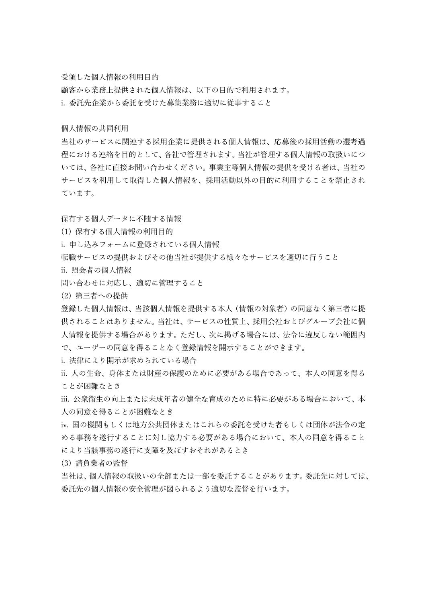受領した個人情報の利用目的

顧客から業務上提供された個人情報は、以下の目的で利用されます。 i. 委託先企業から委託を受けた募集業務に適切に従事すること

個人情報の共同利用

当社のサービスに関連する採⽤企業に提供される個⼈情報は、応募後の採⽤活動の選考過 程における連絡を⽬的として、各社で管理されます。当社が管理する個⼈情報の取扱いにつ いては、各社に直接お問い合わせください。事業主等個⼈情報の提供を受ける者は、当社の サービスを利用して取得した個人情報を、採用活動以外の目的に利用することを禁止され ています。

保有する個⼈データに不随する情報

(1) 保有する個人情報の利用目的

i. 申し込みフォームに登録されている個⼈情報

転職サービスの提供およびその他当社が提供する様々なサービスを適切に行うこと

ii. 照会者の個⼈情報

問い合わせに対応し、適切に管理すること

(2) 第三者への提供

登録した個⼈情報は、当該個⼈情報を提供する本⼈(情報の対象者)の同意なく第三者に提 供されることはありません。当社は、サービスの性質上、採⽤会社およびグループ会社に個 ⼈情報を提供する場合があります。ただし、次に掲げる場合には、法令に違反しない範囲内 で、ユーザーの同意を得ることなく登録情報を開⽰することができます。

i. 法律により開示が求められている場合

ii. ⼈の⽣命、⾝体または財産の保護のために必要がある場合であって、本⼈の同意を得る ことが困難なとき

iii. 公衆衛⽣の向上または未成年者の健全な育成のために特に必要がある場合において、本 ⼈の同意を得ることが困難なとき

iv. 国の機関もしくは地⽅公共団体またはこれらの委託を受けた者もしくは団体が法令の定 める事務を遂⾏することに対し協⼒する必要がある場合において、本⼈の同意を得ること により当該事務の遂行に支障を及ぼすおそれがあるとき

(3) 請負業者の監督

当社は、個⼈情報の取扱いの全部または⼀部を委託することがあります。委託先に対しては、 委託先の個⼈情報の安全管理が図られるよう適切な監督を⾏います。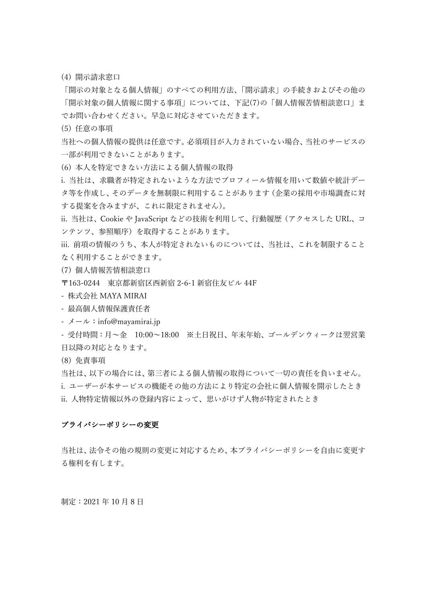(4) 開示請求窓口

「開⽰の対象となる個⼈情報」のすべての利⽤⽅法、「開⽰請求」の⼿続きおよびその他の 「開示対象の個人情報に関する事項」については、下記(7)の「個人情報苦情相談窓口」ま でお問い合わせください。早急に対応させていただきます。

(5) 任意の事項

当社への個⼈情報の提供は任意です。必須項⽬が⼊⼒されていない場合、当社のサービスの 一部が利用できないことがあります。

(6) 本⼈を特定できない⽅法による個⼈情報の取得

i. 当社は、求職者が特定されないような方法でプロフィール情報を用いて数値や統計デー タ等を作成し、そのデータを無制限に利⽤することがあります(企業の採⽤や市場調査に対 する提案を含みますが、これに限定されません)。

ii. 当社は、Cookie や JavaScript などの技術を利用して、行動履歴(アクセスした URL、コ ンテンツ、参照順序)を取得することがあります。

iii. 前項の情報のうち、本⼈が特定されないものについては、当社は、これを制限すること なく利用することができます。

(7) 個人情報苦情相談窓口

〒163-0244 東京都新宿区⻄新宿 2-6-1 新宿住友ビル 44F

- 株式会社 MAYA MIRAI

- 最⾼個⼈情報保護責任者

-  $\lambda - \nu$ : info@mayamirai.jp

- 受付時間:⽉〜⾦ 10:00〜18:00 ※⼟⽇祝⽇、年末年始、ゴールデンウィークは翌営業 ⽇以降の対応となります。

(8) 免責事項

当社は、以下の場合には、第三者による個⼈情報の取得について⼀切の責任を負いません。 i. ユーザーが本サービスの機能その他の方法により特定の会社に個人情報を開示したとき ii. ⼈物特定情報以外の登録内容によって、思いがけず⼈物が特定されたとき

### プライバシーポリシーの変更

当社は、法令その他の規則の変更に対応するため、本プライバシーポリシーを⾃由に変更す る権利を有します。

制定: 2021年10月8日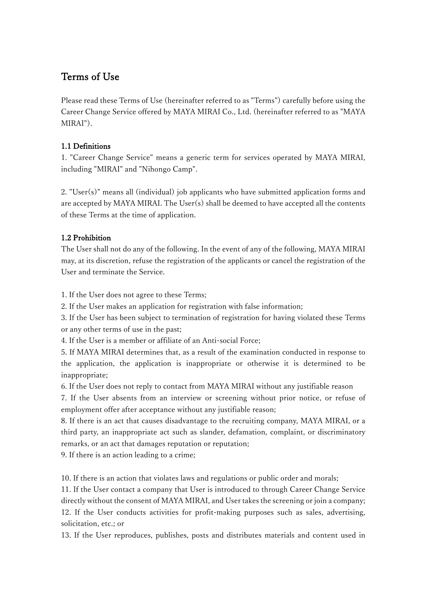# Terms of Use

Please read these Terms of Use (hereinafter referred to as "Terms") carefully before using the Career Change Service offered by MAYA MIRAI Co., Ltd. (hereinafter referred to as "MAYA MIRAI").

# 1.1 Definitions

1. "Career Change Service" means a generic term for services operated by MAYA MIRAI, including "MIRAI" and "Nihongo Camp".

2. "User(s)" means all (individual) job applicants who have submitted application forms and are accepted by MAYA MIRAI. The User(s) shall be deemed to have accepted all the contents of these Terms at the time of application.

# 1.2 Prohibition

The User shall not do any of the following. In the event of any of the following, MAYA MIRAI may, at its discretion, refuse the registration of the applicants or cancel the registration of the User and terminate the Service.

1. If the User does not agree to these Terms;

2. If the User makes an application for registration with false information;

3. If the User has been subject to termination of registration for having violated these Terms or any other terms of use in the past;

4. If the User is a member or affiliate of an Anti-social Force;

5. If MAYA MIRAI determines that, as a result of the examination conducted in response to the application, the application is inappropriate or otherwise it is determined to be inappropriate;

6. If the User does not reply to contact from MAYA MIRAI without any justifiable reason

7. If the User absents from an interview or screening without prior notice, or refuse of employment offer after acceptance without any justifiable reason;

8. If there is an act that causes disadvantage to the recruiting company, MAYA MIRAI, or a third party, an inappropriate act such as slander, defamation, complaint, or discriminatory remarks, or an act that damages reputation or reputation;

9. If there is an action leading to a crime;

10. If there is an action that violates laws and regulations or public order and morals;

11. If the User contact a company that User is introduced to through Career Change Service directly without the consent of MAYA MIRAI, and User takes the screening or join a company; 12. If the User conducts activities for profit-making purposes such as sales, advertising, solicitation, etc.; or

13. If the User reproduces, publishes, posts and distributes materials and content used in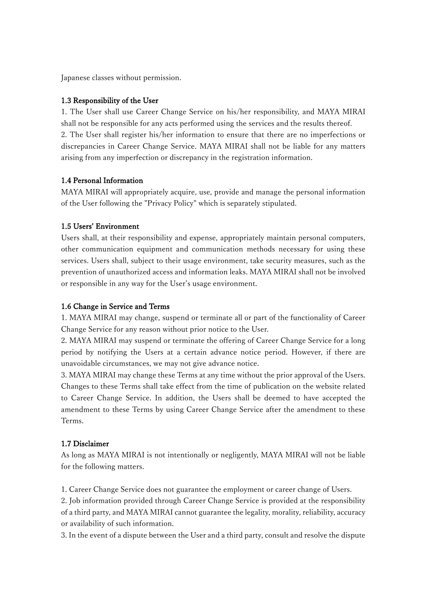Japanese classes without permission.

## 1.3 Responsibility of the User

1. The User shall use Career Change Service on his/her responsibility, and MAYA MIRAI shall not be responsible for any acts performed using the services and the results thereof. 2. The User shall register his/her information to ensure that there are no imperfections or discrepancies in Career Change Service. MAYA MIRAI shall not be liable for any matters arising from any imperfection or discrepancy in the registration information.

# 1.4 Personal Information

MAYA MIRAI will appropriately acquire, use, provide and manage the personal information of the User following the "Privacy Policy" which is separately stipulated.

## 1.5 Users' Environment

Users shall, at their responsibility and expense, appropriately maintain personal computers, other communication equipment and communication methods necessary for using these services. Users shall, subject to their usage environment, take security measures, such as the prevention of unauthorized access and information leaks. MAYA MIRAI shall not be involved or responsible in any way for the User's usage environment.

# 1.6 Change in Service and Terms

1. MAYA MIRAI may change, suspend or terminate all or part of the functionality of Career Change Service for any reason without prior notice to the User.

2. MAYA MIRAI may suspend or terminate the offering of Career Change Service for a long period by notifying the Users at a certain advance notice period. However, if there are unavoidable circumstances, we may not give advance notice.

3. MAYA MIRAI may change these Terms at any time without the prior approval of the Users. Changes to these Terms shall take effect from the time of publication on the website related to Career Change Service. In addition, the Users shall be deemed to have accepted the amendment to these Terms by using Career Change Service after the amendment to these Terms.

# 1.7 Disclaimer

As long as MAYA MIRAI is not intentionally or negligently, MAYA MIRAI will not be liable for the following matters.

1. Career Change Service does not guarantee the employment or career change of Users.

2. Job information provided through Career Change Service is provided at the responsibility of a third party, and MAYA MIRAI cannot guarantee the legality, morality, reliability, accuracy or availability of such information.

3. In the event of a dispute between the User and a third party, consult and resolve the dispute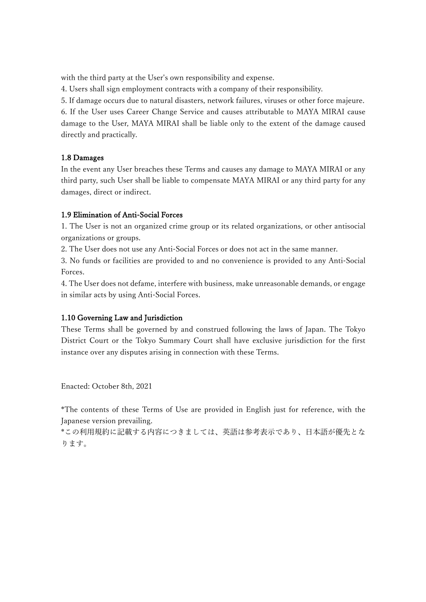with the third party at the User's own responsibility and expense.

4. Users shall sign employment contracts with a company of their responsibility.

5. If damage occurs due to natural disasters, network failures, viruses or other force majeure. 6. If the User uses Career Change Service and causes attributable to MAYA MIRAI cause damage to the User, MAYA MIRAI shall be liable only to the extent of the damage caused directly and practically.

# 1.8 Damages

In the event any User breaches these Terms and causes any damage to MAYA MIRAI or any third party, such User shall be liable to compensate MAYA MIRAI or any third party for any damages, direct or indirect.

# 1.9 Elimination of Anti-Social Forces

1. The User is not an organized crime group or its related organizations, or other antisocial organizations or groups.

2. The User does not use any Anti-Social Forces or does not act in the same manner.

3. No funds or facilities are provided to and no convenience is provided to any Anti-Social Forces.

4. The User does not defame, interfere with business, make unreasonable demands, or engage in similar acts by using Anti-Social Forces.

# 1.10 Governing Law and Jurisdiction

These Terms shall be governed by and construed following the laws of Japan. The Tokyo District Court or the Tokyo Summary Court shall have exclusive jurisdiction for the first instance over any disputes arising in connection with these Terms.

Enacted: October 8th, 2021

\*The contents of these Terms of Use are provided in English just for reference, with the Japanese version prevailing.

\*この利用規約に記載する内容につきましては、英語は参考表示であり、日本語が優先とな ります。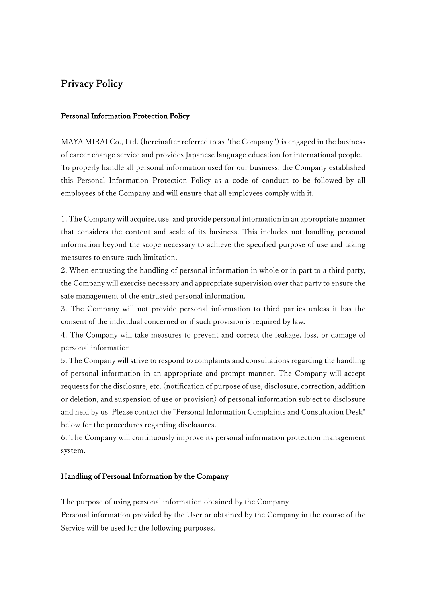# Privacy Policy

### Personal Information Protection Policy

MAYA MIRAI Co., Ltd. (hereinafter referred to as "the Company") is engaged in the business of career change service and provides Japanese language education for international people. To properly handle all personal information used for our business, the Company established this Personal Information Protection Policy as a code of conduct to be followed by all employees of the Company and will ensure that all employees comply with it.

1. The Company will acquire, use, and provide personal information in an appropriate manner that considers the content and scale of its business. This includes not handling personal information beyond the scope necessary to achieve the specified purpose of use and taking measures to ensure such limitation.

2. When entrusting the handling of personal information in whole or in part to a third party, the Company will exercise necessary and appropriate supervision over that party to ensure the safe management of the entrusted personal information.

3. The Company will not provide personal information to third parties unless it has the consent of the individual concerned or if such provision is required by law.

4. The Company will take measures to prevent and correct the leakage, loss, or damage of personal information.

5. The Company will strive to respond to complaints and consultations regarding the handling of personal information in an appropriate and prompt manner. The Company will accept requests for the disclosure, etc. (notification of purpose of use, disclosure, correction, addition or deletion, and suspension of use or provision) of personal information subject to disclosure and held by us. Please contact the "Personal Information Complaints and Consultation Desk" below for the procedures regarding disclosures.

6. The Company will continuously improve its personal information protection management system.

## Handling of Personal Information by the Company

The purpose of using personal information obtained by the Company

Personal information provided by the User or obtained by the Company in the course of the Service will be used for the following purposes.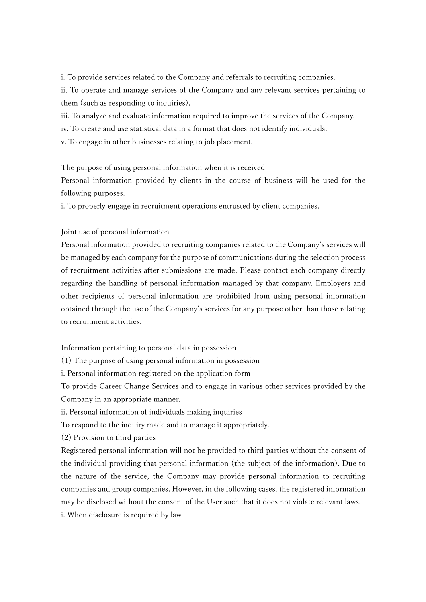i. To provide services related to the Company and referrals to recruiting companies.

ii. To operate and manage services of the Company and any relevant services pertaining to them (such as responding to inquiries).

iii. To analyze and evaluate information required to improve the services of the Company.

iv. To create and use statistical data in a format that does not identify individuals.

v. To engage in other businesses relating to job placement.

The purpose of using personal information when it is received

Personal information provided by clients in the course of business will be used for the following purposes.

i. To properly engage in recruitment operations entrusted by client companies.

Joint use of personal information

Personal information provided to recruiting companies related to the Company's services will be managed by each company for the purpose of communications during the selection process of recruitment activities after submissions are made. Please contact each company directly regarding the handling of personal information managed by that company. Employers and other recipients of personal information are prohibited from using personal information obtained through the use of the Company's services for any purpose other than those relating to recruitment activities.

Information pertaining to personal data in possession

(1) The purpose of using personal information in possession

i. Personal information registered on the application form

To provide Career Change Services and to engage in various other services provided by the Company in an appropriate manner.

ii. Personal information of individuals making inquiries

To respond to the inquiry made and to manage it appropriately.

(2) Provision to third parties

Registered personal information will not be provided to third parties without the consent of the individual providing that personal information (the subject of the information). Due to the nature of the service, the Company may provide personal information to recruiting companies and group companies. However, in the following cases, the registered information may be disclosed without the consent of the User such that it does not violate relevant laws. i. When disclosure is required by law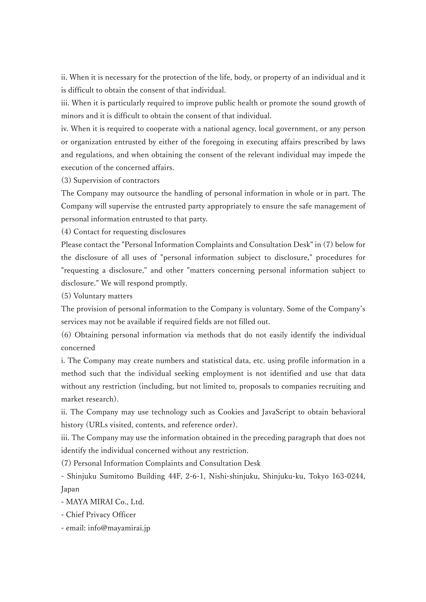ii. When it is necessary for the protection of the life, body, or property of an individual and it is difficult to obtain the consent of that individual.

iii. When it is particularly required to improve public health or promote the sound growth of minors and it is difficult to obtain the consent of that individual.

iv. When it is required to cooperate with a national agency, local government, or any person or organization entrusted by either of the foregoing in executing affairs prescribed by laws and regulations, and when obtaining the consent of the relevant individual may impede the execution of the concerned affairs.

(3) Supervision of contractors

The Company may outsource the handling of personal information in whole or in part. The Company will supervise the entrusted party appropriately to ensure the safe management of personal information entrusted to that party.

(4) Contact for requesting disclosures

Please contact the "Personal Information Complaints and Consultation Desk" in (7) below for the disclosure of all uses of "personal information subject to disclosure," procedures for "requesting a disclosure," and other "matters concerning personal information subject to disclosure." We will respond promptly.

(5) Voluntary matters

The provision of personal information to the Company is voluntary. Some of the Company's services may not be available if required fields are not filled out.

(6) Obtaining personal information via methods that do not easily identify the individual concerned

i. The Company may create numbers and statistical data, etc. using profile information in a method such that the individual seeking employment is not identified and use that data without any restriction (including, but not limited to, proposals to companies recruiting and market research).

ii. The Company may use technology such as Cookies and JavaScript to obtain behavioral history (URLs visited, contents, and reference order).

iii. The Company may use the information obtained in the preceding paragraph that does not identify the individual concerned without any restriction.

(7) Personal Information Complaints and Consultation Desk

- Shinjuku Sumitomo Building 44F, 2-6-1, Nishi-shinjuku, Shinjuku-ku, Tokyo 163-0244, Japan

- MAYA MIRAI Co., Ltd.

- Chief Privacy Officer

- email: info@mayamirai.jp